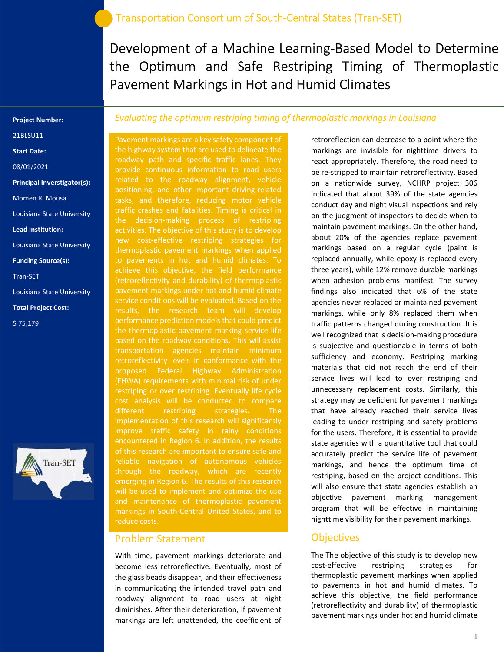Development of a Machine Learning-Based Model to Determine the Optimum and Safe Restriping Timing of Thermoplastic Pavement Markings in Hot and Humid Climates

#### Project Number:

21BLSU11

#### Start Date:

08/01/2021

Principal Inverstigator(s):

Momen R. Mousa

Louisiana State University

Lead Institution:

Louisiana State University

Funding Source(s):

Tran-SET

Louisiana State University

Total Project Cost:

\$ 75,179



#### Evaluating the optimum restriping timing of thermoplastic markings in Louisiana

Pavement markings are a key safety component of the highway system that are used to delineate the roadway path and specific traffic lanes. They provide continuous information to road users related to the roadway alignment, vehicle positioning, and other important driving-related tasks, and therefore, reducing motor vehicle traffic crashes and fatalities. Timing is critical in the decision-making process of restriping activities. The objective of this study is to develop new cost-effective restriping strategies for thermoplastic pavement markings when applied to pavements in hot and humid climates. To achieve this objective, the field performance pavement markings under hot and humid climate service conditions will be evaluated. Based on the results, the research team will develop the thermoplastic pavement marking service life based on the roadway conditions. This will assist transportation agencies maintain minimum retroreflectivity levels in conformance with the proposed Federal Highway Administration restriping or over restriping. Eventually life cycle cost analysis will be conducted to compare different restriping strategies. The implementation of this research will significantly encountered in Region 6. In addition, the results of this research are important to ensure safe and reliable navigation of autonomous vehicles through the roadway, which are recently emerging in Region 6. The results of this research will be used to implement and optimize the use and maintenance of thermoplastic pavement markings in South-Central United States, and to reduce costs.

#### Problem Statement

With time, pavement markings deteriorate and become less retroreflective. Eventually, most of the glass beads disappear, and their effectiveness in communicating the intended travel path and roadway alignment to road users at night diminishes. After their deterioration, if pavement markings are left unattended, the coefficient of

retroreflection can decrease to a point where the markings are invisible for nighttime drivers to react appropriately. Therefore, the road need to be re-stripped to maintain retroreflectivity. Based on a nationwide survey, NCHRP project 306 indicated that about 39% of the state agencies conduct day and night visual inspections and rely on the judgment of inspectors to decide when to maintain pavement markings. On the other hand, about 20% of the agencies replace pavement markings based on a regular cycle (paint is replaced annually, while epoxy is replaced every three years), while 12% remove durable markings when adhesion problems manifest. The survey findings also indicated that 6% of the state agencies never replaced or maintained pavement markings, while only 8% replaced them when traffic patterns changed during construction. It is well recognized that is decision-making procedure is subjective and questionable in terms of both sufficiency and economy. Restriping marking materials that did not reach the end of their service lives will lead to over restriping and unnecessary replacement costs. Similarly, this strategy may be deficient for pavement markings that have already reached their service lives leading to under restriping and safety problems for the users. Therefore, it is essential to provide state agencies with a quantitative tool that could accurately predict the service life of pavement markings, and hence the optimum time of restriping, based on the project conditions. This will also ensure that state agencies establish an objective pavement marking management program that will be effective in maintaining nighttime visibility for their pavement markings.

#### **Objectives**

The The objective of this study is to develop new cost-effective restriping strategies for thermoplastic pavement markings when applied to pavements in hot and humid climates. To achieve this objective, the field performance (retroreflectivity and durability) of thermoplastic pavement markings under hot and humid climate